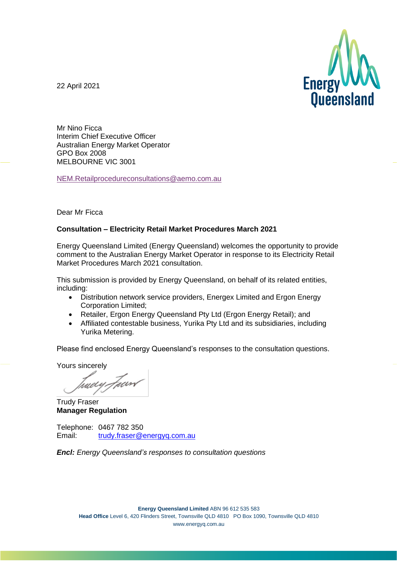

22 April 2021

Mr Nino Ficca Interim Chief Executive Officer Australian Energy Market Operator GPO Box 2008 MELBOURNE VIC 3001

[NEM.Retailprocedureconsultations@aemo.com.au](https://aemo.com.au/consultations/current-and-closed-consultations/NEM.Retailprocedureconsultations@aemo.com.au)

#### Dear Mr Ficca

#### **Consultation – Electricity Retail Market Procedures March 2021**

Energy Queensland Limited (Energy Queensland) welcomes the opportunity to provide comment to the Australian Energy Market Operator in response to its Electricity Retail Market Procedures March 2021 consultation.

This submission is provided by Energy Queensland, on behalf of its related entities, including:

- Distribution network service providers, Energex Limited and Ergon Energy Corporation Limited;
- Retailer, Ergon Energy Queensland Pty Ltd (Ergon Energy Retail); and
- Affiliated contestable business, Yurika Pty Ltd and its subsidiaries, including Yurika Metering.

Please find enclosed Energy Queensland's responses to the consultation questions.

Yours sincerely

tuely Fun

Trudy Fraser **Manager Regulation**

Telephone: 0467 782 350 Email: [trudy.fraser@energyq.com.au](mailto:trudy.fraser@energyq.com.au)

*Encl: Energy Queensland's responses to consultation questions*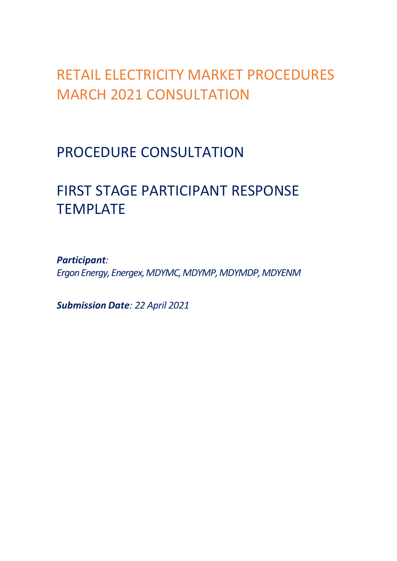# RETAIL ELECTRICITY MARKET PROCEDURES MARCH 2021 CONSULTATION

## PROCEDURE CONSULTATION

# FIRST STAGE PARTICIPANT RESPONSE TEMPLATE

*Participant: Ergon Energy, Energex, MDYMC, MDYMP, MDYMDP, MDYENM*

*Submission Date: 22 April 2021*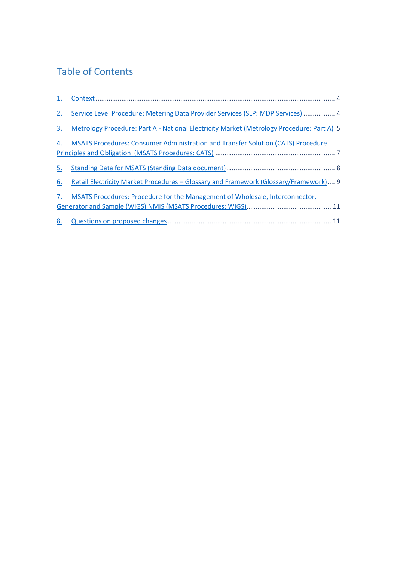## Table of Contents

<span id="page-2-0"></span>

| 2. | Service Level Procedure: Metering Data Provider Services (SLP: MDP Services)  4           |
|----|-------------------------------------------------------------------------------------------|
| 3. | Metrology Procedure: Part A - National Electricity Market (Metrology Procedure: Part A) 5 |
| 4. | MSATS Procedures: Consumer Administration and Transfer Solution (CATS) Procedure          |
| 5. |                                                                                           |
| 6. | Retail Electricity Market Procedures – Glossary and Framework (Glossary/Framework) 9      |
| 7. | MSATS Procedures: Procedure for the Management of Wholesale, Interconnector,              |
| 8. |                                                                                           |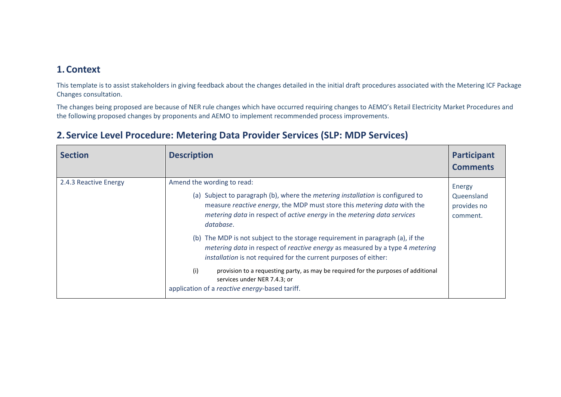### **1.Context**

This template is to assist stakeholders in giving feedback about the changes detailed in the initial draft procedures associated with the Metering ICF Package Changes consultation.

The changes being proposed are because of NER rule changes which have occurred requiring changes to AEMO's Retail Electricity Market Procedures and the following proposed changes by proponents and AEMO to implement recommended process improvements.

<span id="page-3-0"></span>

| <b>Section</b>        | <b>Description</b>                                                                                                                                                                                                                                                                     | Participant<br><b>Comments</b>                  |
|-----------------------|----------------------------------------------------------------------------------------------------------------------------------------------------------------------------------------------------------------------------------------------------------------------------------------|-------------------------------------------------|
| 2.4.3 Reactive Energy | Amend the wording to read:<br>(a) Subject to paragraph (b), where the <i>metering installation</i> is configured to<br>measure reactive energy, the MDP must store this metering data with the<br>metering data in respect of active energy in the metering data services<br>database. | Energy<br>Queensland<br>provides no<br>comment. |
|                       | (b) The MDP is not subject to the storage requirement in paragraph (a), if the<br>metering data in respect of reactive energy as measured by a type 4 metering<br>installation is not required for the current purposes of either:                                                     |                                                 |
|                       | (i)<br>provision to a requesting party, as may be required for the purposes of additional<br>services under NER 7.4.3; or<br>application of a reactive energy-based tariff.                                                                                                            |                                                 |

### **2.Service Level Procedure: Metering Data Provider Services (SLP: MDP Services)**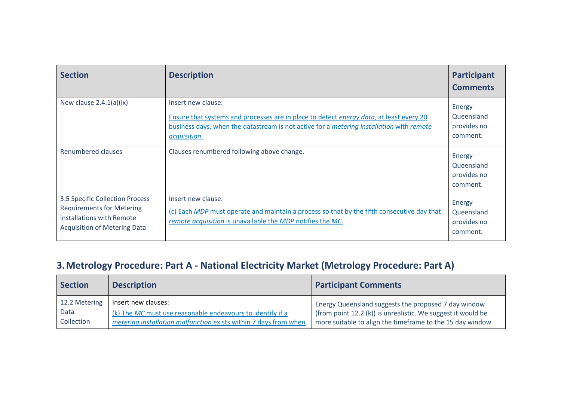| <b>Section</b>                                                                                                                          | <b>Description</b>                                                                                                                                                                                                                              | <b>Participant</b><br><b>Comments</b>           |
|-----------------------------------------------------------------------------------------------------------------------------------------|-------------------------------------------------------------------------------------------------------------------------------------------------------------------------------------------------------------------------------------------------|-------------------------------------------------|
| New clause $2.4.1(a)(ix)$                                                                                                               | Insert new clause:<br>Ensure that systems and processes are in place to detect <i>energy data</i> , at least every 20<br>business days, when the datastream is not active for a <i>metering installation</i> with <i>remote</i><br>acquisition. | Energy<br>Queensland<br>provides no<br>comment. |
| Renumbered clauses                                                                                                                      | Clauses renumbered following above change.                                                                                                                                                                                                      | Energy<br>Queensland<br>provides no<br>comment. |
| 3.5 Specific Collection Process<br><b>Requirements for Metering</b><br>installations with Remote<br><b>Acquisition of Metering Data</b> | Insert new clause:<br>(c) Each MDP must operate and maintain a process so that by the fifth consecutive day that<br>remote acquisition is unavailable the MDP notifies the MC.                                                                  | Energy<br>Queensland<br>provides no<br>comment. |

## **3.Metrology Procedure: Part A - National Electricity Market (Metrology Procedure: Part A)**

<span id="page-4-0"></span>

| <b>Section</b> | <b>Description</b>                                               | <b>Participant Comments</b>                                  |
|----------------|------------------------------------------------------------------|--------------------------------------------------------------|
| 12.2 Metering  | Insert new clauses:                                              | Energy Queensland suggests the proposed 7 day window         |
| Data           | $(k)$ The MC must use reasonable endeavours to identify if a     | (from point 12.2 (k)) is unrealistic. We suggest it would be |
| Collection     | metering installation malfunction exists within 7 days from when | more suitable to align the timeframe to the 15 day window    |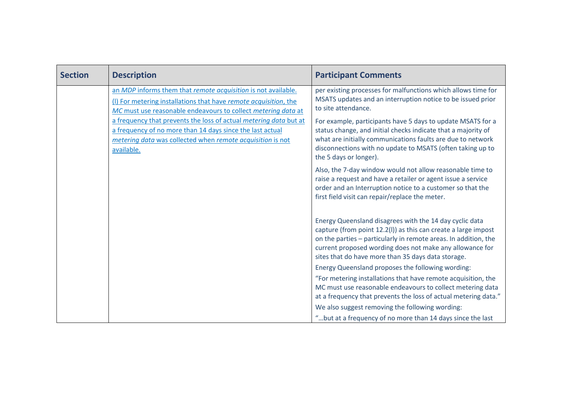| <b>Section</b> | <b>Description</b>                                                                                                                                                                                         | <b>Participant Comments</b>                                                                                                                                                                                                                                                                                    |
|----------------|------------------------------------------------------------------------------------------------------------------------------------------------------------------------------------------------------------|----------------------------------------------------------------------------------------------------------------------------------------------------------------------------------------------------------------------------------------------------------------------------------------------------------------|
|                | an MDP informs them that remote acquisition is not available.<br>(I) For metering installations that have remote acquisition, the<br>MC must use reasonable endeavours to collect metering data at         | per existing processes for malfunctions which allows time for<br>MSATS updates and an interruption notice to be issued prior<br>to site attendance.                                                                                                                                                            |
|                | a frequency that prevents the loss of actual metering data but at<br>a frequency of no more than 14 days since the last actual<br>metering data was collected when remote acquisition is not<br>available. | For example, participants have 5 days to update MSATS for a<br>status change, and initial checks indicate that a majority of<br>what are initially communications faults are due to network<br>disconnections with no update to MSATS (often taking up to<br>the 5 days or longer).                            |
|                |                                                                                                                                                                                                            | Also, the 7-day window would not allow reasonable time to<br>raise a request and have a retailer or agent issue a service<br>order and an Interruption notice to a customer so that the<br>first field visit can repair/replace the meter.                                                                     |
|                |                                                                                                                                                                                                            | Energy Queensland disagrees with the 14 day cyclic data<br>capture (from point 12.2(I)) as this can create a large impost<br>on the parties - particularly in remote areas. In addition, the<br>current proposed wording does not make any allowance for<br>sites that do have more than 35 days data storage. |
|                |                                                                                                                                                                                                            | Energy Queensland proposes the following wording:                                                                                                                                                                                                                                                              |
|                |                                                                                                                                                                                                            | "For metering installations that have remote acquisition, the<br>MC must use reasonable endeavours to collect metering data<br>at a frequency that prevents the loss of actual metering data."                                                                                                                 |
|                |                                                                                                                                                                                                            | We also suggest removing the following wording:                                                                                                                                                                                                                                                                |
|                |                                                                                                                                                                                                            | " but at a frequency of no more than 14 days since the last                                                                                                                                                                                                                                                    |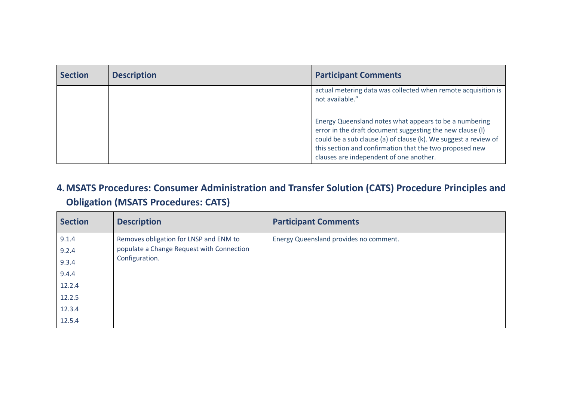| <b>Section</b> | <b>Description</b> | <b>Participant Comments</b>                                                                                                                                                                                                                                                                                                           |
|----------------|--------------------|---------------------------------------------------------------------------------------------------------------------------------------------------------------------------------------------------------------------------------------------------------------------------------------------------------------------------------------|
|                |                    | actual metering data was collected when remote acquisition is<br>not available."<br>Energy Queensland notes what appears to be a numbering<br>error in the draft document suggesting the new clause (I)<br>could be a sub clause (a) of clause (k). We suggest a review of<br>this section and confirmation that the two proposed new |
|                |                    | clauses are independent of one another.                                                                                                                                                                                                                                                                                               |

## **4.MSATS Procedures: Consumer Administration and Transfer Solution (CATS) Procedure Principles and Obligation (MSATS Procedures: CATS)**

<span id="page-6-0"></span>

| <b>Section</b> | <b>Description</b>                        | <b>Participant Comments</b>            |
|----------------|-------------------------------------------|----------------------------------------|
| 9.1.4          | Removes obligation for LNSP and ENM to    | Energy Queensland provides no comment. |
| 9.2.4          | populate a Change Request with Connection |                                        |
| 9.3.4          | Configuration.                            |                                        |
| 9.4.4          |                                           |                                        |
| 12.2.4         |                                           |                                        |
| 12.2.5         |                                           |                                        |
| 12.3.4         |                                           |                                        |
| 12.5.4         |                                           |                                        |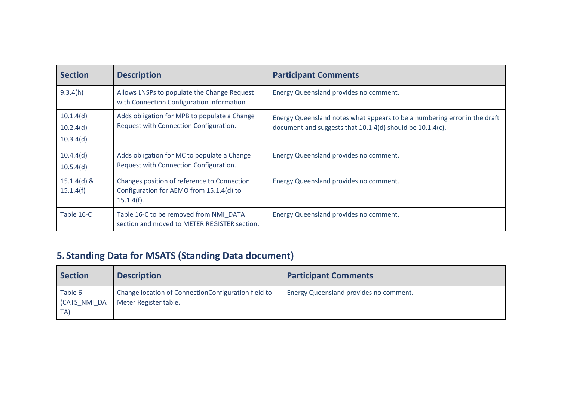| <b>Section</b>                      | <b>Description</b>                                                                                    | <b>Participant Comments</b>                                                                                                            |
|-------------------------------------|-------------------------------------------------------------------------------------------------------|----------------------------------------------------------------------------------------------------------------------------------------|
| 9.3.4(h)                            | Allows LNSPs to populate the Change Request<br>with Connection Configuration information              | Energy Queensland provides no comment.                                                                                                 |
| 10.1.4(d)<br>10.2.4(d)<br>10.3.4(d) | Adds obligation for MPB to populate a Change<br>Request with Connection Configuration.                | Energy Queensland notes what appears to be a numbering error in the draft<br>document and suggests that 10.1.4(d) should be 10.1.4(c). |
| 10.4.4(d)<br>10.5.4(d)              | Adds obligation for MC to populate a Change<br>Request with Connection Configuration.                 | Energy Queensland provides no comment.                                                                                                 |
| $15.1.4(d)$ &<br>15.1.4(f)          | Changes position of reference to Connection<br>Configuration for AEMO from 15.1.4(d) to<br>15.1.4(f). | Energy Queensland provides no comment.                                                                                                 |
| Table 16-C                          | Table 16-C to be removed from NMI_DATA<br>section and moved to METER REGISTER section.                | Energy Queensland provides no comment.                                                                                                 |

## **5.Standing Data for MSATS (Standing Data document)**

<span id="page-7-0"></span>

| <b>Section</b>                 | <b>Description</b>                                                           | <b>Participant Comments</b>            |
|--------------------------------|------------------------------------------------------------------------------|----------------------------------------|
| Table 6<br>(CATS_NMI_DA<br>TA) | Change location of ConnectionConfiguration field to<br>Meter Register table. | Energy Queensland provides no comment. |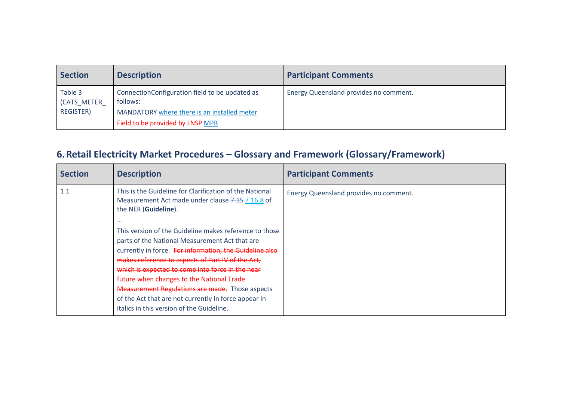| <b>Section</b>         | <b>Description</b>                                         | <b>Participant Comments</b>            |
|------------------------|------------------------------------------------------------|----------------------------------------|
| Table 3<br>(CATS METER | ConnectionConfiguration field to be updated as<br>follows: | Energy Queensland provides no comment. |
| <b>REGISTER)</b>       | MANDATORY where there is an installed meter                |                                        |
|                        | Field to be provided by LNSP MPB                           |                                        |

## **6.Retail Electricity Market Procedures – Glossary and Framework (Glossary/Framework)**

<span id="page-8-0"></span>

| <b>Section</b> | <b>Description</b>                                                                                                                                                                                                                                                                                                                                                                                                                                                                                                                                                                                                                          | <b>Participant Comments</b>            |
|----------------|---------------------------------------------------------------------------------------------------------------------------------------------------------------------------------------------------------------------------------------------------------------------------------------------------------------------------------------------------------------------------------------------------------------------------------------------------------------------------------------------------------------------------------------------------------------------------------------------------------------------------------------------|----------------------------------------|
| 1.1            | This is the Guideline for Clarification of the National<br>Measurement Act made under clause 7.15 7.16.8 of<br>the NER (Guideline).<br>$\cdots$<br>This version of the Guideline makes reference to those<br>parts of the National Measurement Act that are<br>currently in force. For information, the Guideline also<br>makes reference to aspects of Part IV of the Act.<br>which is expected to come into force in the near<br>future when changes to the National Trade<br><b>Measurement Regulations are made.</b> Those aspects<br>of the Act that are not currently in force appear in<br>italics in this version of the Guideline. | Energy Queensland provides no comment. |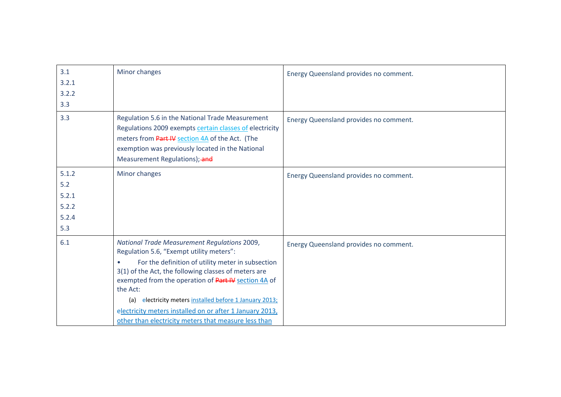| 3.1   | Minor changes                                                                                                                                                                                                                                       | Energy Queensland provides no comment. |
|-------|-----------------------------------------------------------------------------------------------------------------------------------------------------------------------------------------------------------------------------------------------------|----------------------------------------|
| 3.2.1 |                                                                                                                                                                                                                                                     |                                        |
| 3.2.2 |                                                                                                                                                                                                                                                     |                                        |
| 3.3   |                                                                                                                                                                                                                                                     |                                        |
| 3.3   | Regulation 5.6 in the National Trade Measurement<br>Regulations 2009 exempts certain classes of electricity<br>meters from Part IV section 4A of the Act. (The<br>exemption was previously located in the National<br>Measurement Regulations); and | Energy Queensland provides no comment. |
| 5.1.2 | Minor changes                                                                                                                                                                                                                                       | Energy Queensland provides no comment. |
| 5.2   |                                                                                                                                                                                                                                                     |                                        |
| 5.2.1 |                                                                                                                                                                                                                                                     |                                        |
| 5.2.2 |                                                                                                                                                                                                                                                     |                                        |
| 5.2.4 |                                                                                                                                                                                                                                                     |                                        |
| 5.3   |                                                                                                                                                                                                                                                     |                                        |
| 6.1   | National Trade Measurement Regulations 2009,<br>Regulation 5.6, "Exempt utility meters":                                                                                                                                                            | Energy Queensland provides no comment. |
|       | For the definition of utility meter in subsection<br>3(1) of the Act, the following classes of meters are<br>exempted from the operation of Part IV section 4A of<br>the Act:                                                                       |                                        |
|       | electricity meters installed before 1 January 2013;<br>(a)                                                                                                                                                                                          |                                        |
|       | electricity meters installed on or after 1 January 2013,                                                                                                                                                                                            |                                        |
|       | other than electricity meters that measure less than                                                                                                                                                                                                |                                        |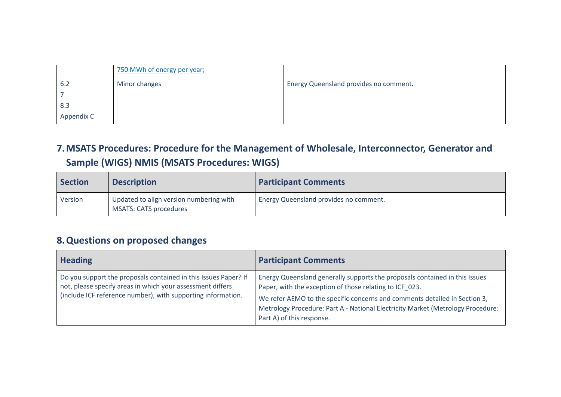|            | 750 MWh of energy per year; |                                        |
|------------|-----------------------------|----------------------------------------|
| 6.2        | Minor changes               | Energy Queensland provides no comment. |
|            |                             |                                        |
| 8.3        |                             |                                        |
| Appendix C |                             |                                        |

## **7.MSATS Procedures: Procedure for the Management of Wholesale, Interconnector, Generator and Sample (WIGS) NMIS (MSATS Procedures: WIGS)**

| <b>Section</b> | <b>Description</b>                                                       | <b>Participant Comments</b>            |
|----------------|--------------------------------------------------------------------------|----------------------------------------|
| Version        | Updated to align version numbering with<br><b>MSATS: CATS procedures</b> | Energy Queensland provides no comment. |

### **8.Questions on proposed changes**

<span id="page-10-1"></span><span id="page-10-0"></span>

| <b>Heading</b>                                                                                                                                                                                | <b>Participant Comments</b>                                                                                                                                                                                                                                                                                                          |
|-----------------------------------------------------------------------------------------------------------------------------------------------------------------------------------------------|--------------------------------------------------------------------------------------------------------------------------------------------------------------------------------------------------------------------------------------------------------------------------------------------------------------------------------------|
| Do you support the proposals contained in this Issues Paper? If<br>not, please specify areas in which your assessment differs<br>(include ICF reference number), with supporting information. | Energy Queensland generally supports the proposals contained in this Issues<br>Paper, with the exception of those relating to ICF 023.<br>We refer AEMO to the specific concerns and comments detailed in Section 3,<br>Metrology Procedure: Part A - National Electricity Market (Metrology Procedure:<br>Part A) of this response. |